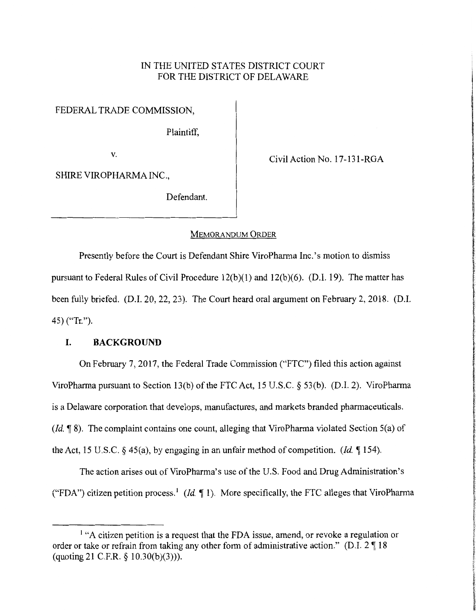# IN THE UNITED STATES DISTRICT COURT FOR THE DISTRICT OF DELAWARE

FEDERAL TRADE COMMISSION,

Plaintiff,

v.<br>
Civil Action No. 17-131-RGA

**International IN THE PERSONAL REPORT** 

**International Administration Company** 

SHIRE VIROPHARMA INC.,

Defendant.

#### MEMORANDUM ORDER

Presently before the Court is Defendant Shire ViroPharma Inc.'s motion to dismiss pursuant to Federal Rules of Civil Procedure  $12(b)(1)$  and  $12(b)(6)$ . (D.I. 19). The matter has been fully briefed. (D.I. 20, 22, 23). The Court heard oral argument on February 2, 2018. (D.I. 45) ("Tr.").

# **I. BACKGROUND**

On February 7, 2017, the Federal Trade Commission ("FTC") filed this action against ViroPharma pursuant to Section 13(b) of the FTC Act, 15 U.S.C. § 53(b). (D.I. 2). ViroPharma is a Delaware corporation that develops, manufactures, and markets branded pharmaceuticals. *(Id.* 18). The complaint contains one count, alleging that ViroPharma violated Section 5(a) of the Act, 15 U.S.C.  $\S$  45(a), by engaging in an unfair method of competition. *(Id.*  $\P$  154).

The action arises out of ViroPharma's use of the U.S. Food and Drug Administration's ("FDA") citizen petition process.<sup>1</sup> (*Id.*  $\P$  1). More specifically, the FTC alleges that ViroPharma

<sup>&</sup>lt;sup>1</sup> "A citizen petition is a request that the FDA issue, amend, or revoke a regulation or order or take or refrain from taking any other form of administrative action." (D.I.  $2 \parallel 18$ (quoting 21 C.F.R. *§* 10.30(b)(3))).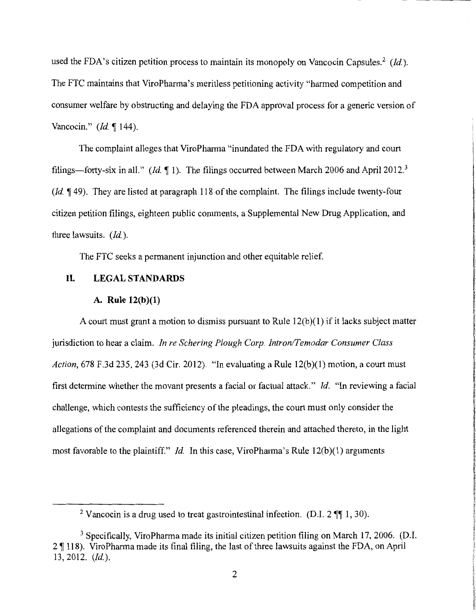used the FDA's citizen petition process to maintain its monopoly on Vancocin Capsules.<sup>2</sup> (*Id.*). The FTC maintains that ViroPharma's meritless petitioning activity "harmed competition and consumer welfare by obstructing and delaying the FDA approval process for a generic version of Vancocin." *(Id.* 144).

The complaint alleges that ViroPharma "inundated the FDA with regulatory and court filings—forty-six in all." *(Id.*  $\llbracket 1$ ). The filings occurred between March 2006 and April 2012.<sup>3</sup> *(Id.*  $\llbracket$  49). They are listed at paragraph 118 of the complaint. The filings include twenty-four citizen petition filings, eighteen public comments, a Supplemental New Drug Application, and three lawsuits. *(Id.).* 

The FTC seeks a permanent injunction and other equitable relief.

# **II. LEGALSTANDARDS**

# **A. Rule 12(b)(l)**

A court must grant a motion to dismiss pursuant to Rule  $12(b)(1)$  if it lacks subject matter jurisdiction to hear a claim. *In re Schering Plough Corp. Intron/Temodar Consumer Class Action,* 678 F.3d 235, 243 (3d Cir. 2012). "In evaluating a Rule 12(b)(l) motion, a court must first determine whether the movant presents a facial or factual attack." *Id.* "In reviewing a facial challenge, which contests the sufficiency of the pleadings, the court must only consider the allegations of the complaint and documents referenced therein and attached thereto, in the light most favorable to the plaintiff." *Id.* In this case, ViroPharma's Rule 12(b)(1) arguments

<sup>&</sup>lt;sup>2</sup> Vancocin is a drug used to treat gastrointestinal infection. (D.I.  $2 \text{ }\mathbb{I}$  1, 30).

<sup>&</sup>lt;sup>3</sup> Specifically, ViroPharma made its initial citizen petition filing on March 17, 2006. (D.I.  $2 \sqrt{\frac{118}{118}}$ . ViroPharma made its final filing, the last of three lawsuits against the FDA, on April 13, 2012. *(Id.).*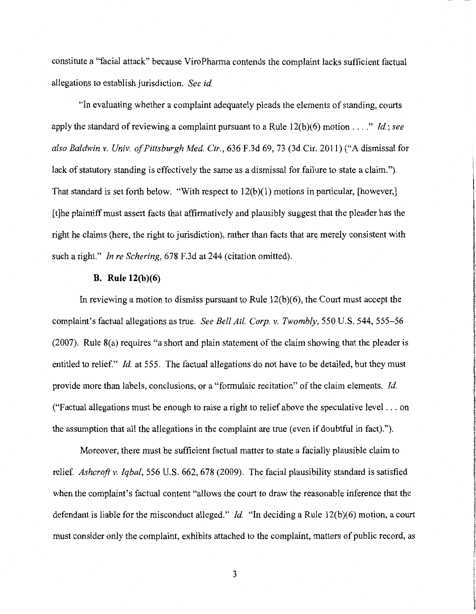constitute a "facial attack" because ViroPharma contends the complaint lacks sufficient factual allegations to establish jurisdiction. *See id* 

"In evaluating whether a complaint adequately pleads the elements of standing, courts apply the standard of reviewing a complaint pursuant to a Rule  $12(b)(6)$  motion ...." *Id.; see also Baldwin v. Univ. of Pittsburgh Med Ctr.,* 636 F.3d 69, 73 (3d Cir. 2011) ("A dismissal for lack of statutory standing is effectively the same as a dismissal for failure to state a claim."). That standard is set forth below. "With respect to  $12(b)(1)$  motions in particular, [however,] [t]he plaintiff must assert facts that affirmatively and plausibly suggest that the pleader has the right he claims (here, the right to jurisdiction), rather than facts that are merely consistent with such a right." *Jn re Schering,* 678 F.3d at 244 (citation omitted).

# **B.** Rule 12(b)(6)

In reviewing a motion to dismiss pursuant to Rule  $12(b)(6)$ , the Court must accept the complaint's factual allegations as true. *See Bell At!. Corp. v. Twombly,* 550 U.S. 544, 555-56 (2007). Rule 8(a) requires "a short and plain statement of the claim showing that the pleader is entitled to relief." *Id.* at 555. The factual allegations do not have to be detailed, but they must provide more than labels, conclusions, or a "formulaic recitation" of the claim elements. *Id*  ("Factual allegations must be enough to raise a right to relief above the speculative level  $\dots$  on the assumption that all the allegations in the complaint are true (even if doubtful in fact).").

Moreover, there must be sufficient factual matter to state a facially plausible claim to relief. *Ashcroft v. Iqbal,* 556 U.S. 662, 678 (2009). The facial plausibility standard is satisfied when the complaint's factual content "allows the court to draw the reasonable inference that the defendant is liable for the misconduct alleged." *Id.* "In deciding a Rule 12(b)(6) motion, a court must consider only the complaint, exhibits attached to the complaint, matters of public record, as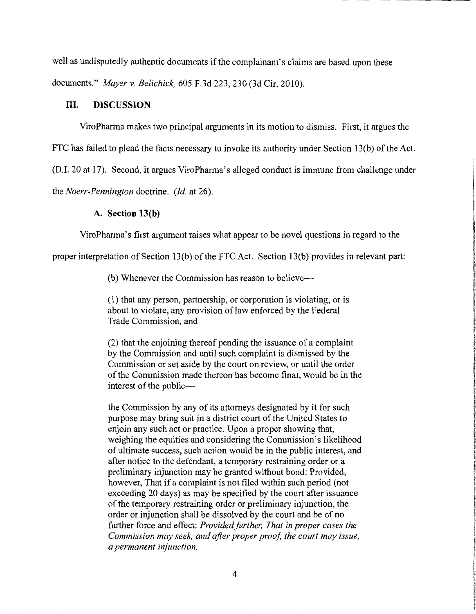well as undisputedly authentic documents if the complainant's claims are based upon these documents." *Mayer v. Belichick,* 605 F.3d 223, 230 (3d Cir. 2010).

# **III. DISCUSSION**

ViroPharma makes two principal arguments in its motion to dismiss. First, it argues the

FTC has failed to plead the facts necessary to invoke its authority under Section 13(b) of the Act.

(D.I. 20 at 17). Second, it argues ViroPharma's alleged conduct is immune from challenge under

the *Noerr-Pennington* doctrine. *(Id.* at 26).

# **A. Section 13(b)**

ViroPharma's first argument raises what appear to be novel questions in regard to the

proper interpretation of Section 13(b) of the FTC Act. Section 13(b) provides in relevant part:

(b) Whenever the Commission has reason to believe--

(1) that any person, partnership, or corporation is violating, or is about to violate, any provision of law enforced by the Federal Trade Commission, and

(2) that the enjoining thereof pending the issuance of a complaint by the Commission and until such complaint is dismissed by the Commission or set aside by the court on review, or until the order of the Commission made thereon has become final, would be in the interest of the public-

the Commission by any of its attorneys designated by it for such purpose may bring suit in a district court of the United States to enjoin any such act or practice. Upon a proper showing that, weighing the equities and considering the Commission's likelihood of ultimate success, such action would be in the public interest, and after notice to the defendant, a temporary restraining order or a preliminary injunction may be granted without bond: Provided, however, That if a complaint is not filed within such period (not exceeding 20 days) as may be specified by the court after issuance of the temporary restraining order or preliminary injunction, the order or injunction shall be dissolved by the court and be of no further force and effect: *Provided further, That in proper cases the Commission may seek, and after proper proof, the court may issue, a permanent injunction.*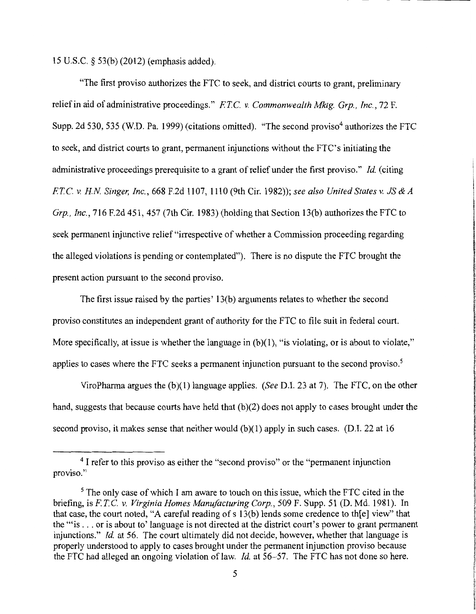15 U.S.C. § 53(b) (2012) (emphasis added).

"The first proviso authorizes the FTC to seek, and district courts to grant, preliminary relief in aid of administrative proceedings." *FT.C. v. Commonwealth Mktg. Grp., Inc.,* 72 F. Supp. 2d 530, 535 (W.D. Pa. 1999) (citations omitted). "The second proviso<sup>4</sup> authorizes the FTC to seek, and district courts to grant, permanent injunctions without the FTC's initiating the administrative proceedings prerequisite to a grant of relief under the first proviso." *Id.* (citing *FT.* C. *v. HN Singer, Inc.,* 668 F.2d 1107, 1110 (9th Cir. 1982)); *see also United States v. JS* & *A Grp., Inc.,* 716 F.2d 451, 457 (7th Cir. 1983) (holding that Section 13(b) authorizes the FTC to seek permanent injunctive relief "irrespective of whether a Commission proceeding regarding the alleged violations is pending or contemplated"). There is no dispute the FTC brought the present action pursuant to the second proviso.

The first issue raised by the parties' 13(b) arguments relates to whether the second proviso constitutes an independent grant of authority for the FTC to file suit in federal court. More specifically, at issue is whether the language in  $(b)(1)$ , "is violating, or is about to violate," applies to cases where the FTC seeks a permanent injunction pursuant to the second proviso.<sup>5</sup>

ViroPharma argues the (b)(l) language applies. *(See* D.I. 23 at 7). The FTC, on the other hand, suggests that because courts have held that (b)(2) does not apply to cases brought under the second proviso, it makes sense that neither would  $(b)(1)$  apply in such cases. (D.I. 22 at 16

<sup>&</sup>lt;sup>4</sup> I refer to this proviso as either the "second proviso" or the "permanent injunction proviso."

<sup>&</sup>lt;sup>5</sup> The only case of which I am aware to touch on this issue, which the FTC cited in the briefing, is *FT.* C. *v. Virginia Homes Manufacturing Corp.,* 509 F. Supp. 51 (D. Md. 1981 ). In that case, the court noted, "A careful reading of s 13(b) lends some credence to th[e] view" that the "'is ... or is about to' language is not directed at the district court's power to grant permanent injunctions." *Id.* at 56. The court ultimately did not decide, however, whether that language is properly understood to apply to cases brought under the permanent injunction proviso because the FTC had alleged an ongoing violation of law. *Id.* at 56–57. The FTC has not done so here.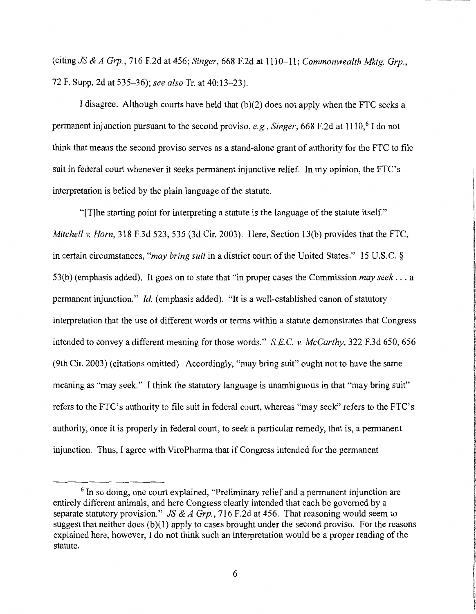(citing *JS* & *A Grp.,* 716 F.2d at 456; *Singer,* 668 F.2d at 1110-11; *Commonwealth Mktg. Grp.,*  72 F. Supp. 2d at 535-36); *see also* Tr. at 40:13-23).

I disagree. Although courts have held that  $(b)(2)$  does not apply when the FTC seeks a permanent injunction pursuant to the second proviso, *e.g., Singer*, 668 F.2d at 1110,<sup>6</sup> I do not think that means the second proviso serves as a stand-alone grant of authority for the FTC to file suit in federal court whenever it seeks permanent injunctive relief. In my opinion, the FTC's interpretation is belied by the plain language of the statute.

"[T]he starting point for interpreting a statute is the language of the statute itself." *Mitchell v. Horn,* 318 F.3d 523, 535 (3d Cir. 2003 ). Here, Section 13(b) provides that the FTC, in certain circumstances, *"may bring suit* in a district court of the United States." 15 U.S.C. § 53(b) (emphasis added). It goes on to state that "in proper cases the Commission *may seek ...* <sup>a</sup> permanent injunction." *Id.* (emphasis added). "It is a well-established canon of statutory interpretation that the use of different words or terms within a statute demonstrates that Congress intended to convey a different meaning for those words." *S.E.C. v. McCarthy,* 322 F.3d 650, 656 (9th Cir. 2003) (citations omitted). Accordingly, "may bring suit" ought not to have the same meaning as "may seek." I think the statutory language is unambiguous in that "may bring suit" refers to the FTC's authority to file suit in federal court, whereas "may seek" refers to the FTC's authority, once it is properly in federal court, to seek a particular remedy, that is, a permanent injunction. Thus, I agree with ViroPharma that if Congress intended for the permanent

<sup>&</sup>lt;sup>6</sup> In so doing, one court explained, "Preliminary relief and a permanent injunction are entirely different animals, and here Congress clearly intended that each be governed by a separate statutory provision." *JS* & *A Grp.,* 716 F.2d at 456. That reasoning would seem to suggest that neither does  $(b)(1)$  apply to cases brought under the second proviso. For the reasons explained here, however, I do not think such an interpretation would be a proper reading of the statute.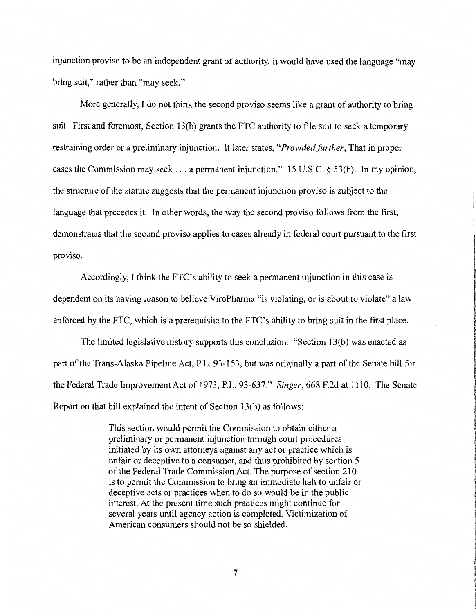injunction proviso to be an independent grant of authority, it would have used the language "may bring suit," rather than "may seek."

More generally, I do not think the second proviso seems like a grant of authority to bring suit. First and foremost, Section 13(b) grants the FTC authority to file suit to seek a temporary restraining order or a preliminary injunction. It later states, *"Provided further,* That in proper cases the Commission may seek ... a permanent injunction." 15 U.S.C. § 53(b). In my opinion, the structure of the statute suggests that the permanent injunction proviso is subject to the language that precedes it. In other words, the way the second proviso follows from the first, demonstrates that the second proviso applies to cases already in federal court pursuant to the first proviso.

Accordingly, I think the FTC's ability to seek a permanent injunction in this case is dependent on its having reason to believe ViroPharma "is violating, or is about to violate" a law enforced by the FTC, which is a prerequisite to the FTC's ability to bring suit in the first place.

The limited legislative history supports this conclusion. "Section 13(b) was enacted as part of the Trans-Alaska Pipeline Act, P.L. 93-153, but was originally a part of the Senate bill for the Federal Trade Improvement Act of 1973, P.L. 93-637." *Singer,* 668 F.2d at 1110. The Senate Report on that bill explained the intent of Section 13(b) as follows:

> This section would permit the Commission to obtain either a preliminary or permanent injunction through court procedures initiated by its own attorneys against any act or practice which is unfair or deceptive to a consumer, and thus prohibited by section 5 of the Federal Trade Commission Act. The purpose of section 210 is to permit the Commission to bring an immediate halt to unfair or deceptive acts or practices when to do so would be in the public interest. At the present time such practices might continue for several years until agency action is completed. Victimization of American consumers should not be so shielded.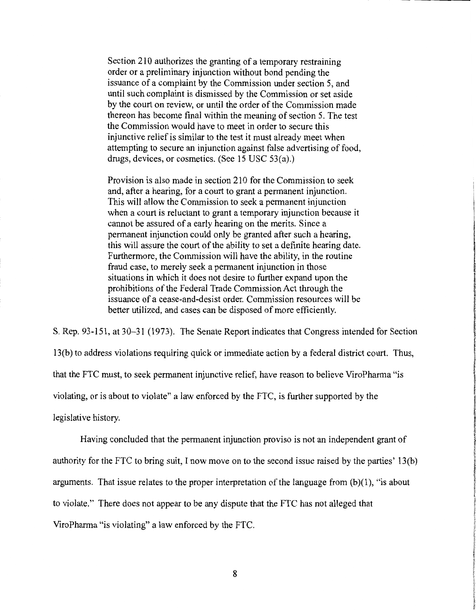Section 210 authorizes the granting of a temporary restraining order or a preliminary injunction without bond pending the issuance of a complaint by the Commission under section 5, and until such complaint is dismissed by the Commission or set aside by the court on review, or until the order of the Commission made thereon has become final within the meaning of section 5. The test the Commission would have to meet in order to secure this injunctive relief is similar to the test it must already meet when attempting to secure an injunction against false advertising of food, drugs, devices, or cosmetics. (See 15 USC 53(a).)

Provision is also made in section 210 for the Commission to seek and, after a hearing, for a court to grant a permanent injunction. This will allow the Commission to seek a permanent injunction when a court is reluctant to grant a temporary injunction because it cannot be assured of a early hearing on the merits. Since a permanent injunction could only be granted after such a hearing, this will assure the court of the ability to set a definite hearing date. Furthermore, the Commission will have the ability, in the routine fraud case, to merely seek a permanent injunction in those situations in which it does not desire to further expand upon the prohibitions of the Federal Trade Commission Act through the issuance of a cease-and-desist order. Commission resources will be better utilized, and cases can be disposed of more efficiently.

S. Rep. 93-151, at 30-31 (1973). The Senate Report indicates that Congress intended for Section 13(b) to address violations requiring quick or immediate action by a federal district court. Thus, that the FTC must, to seek permanent injunctive relief, have reason to believe ViroPharma "is violating, or is about to violate" a law enforced by the FTC, is further supported by the legislative history.

Having concluded that the permanent injunction proviso is not an independent grant of authority for the FTC to bring suit, I now move on to the second issue raised by the parties' 13(b) arguments. That issue relates to the proper interpretation of the language from (b)(l), "is about to violate." There does not appear to be any dispute that the FTC has not alleged that ViroPharma "is violating" a law enforced by the FTC.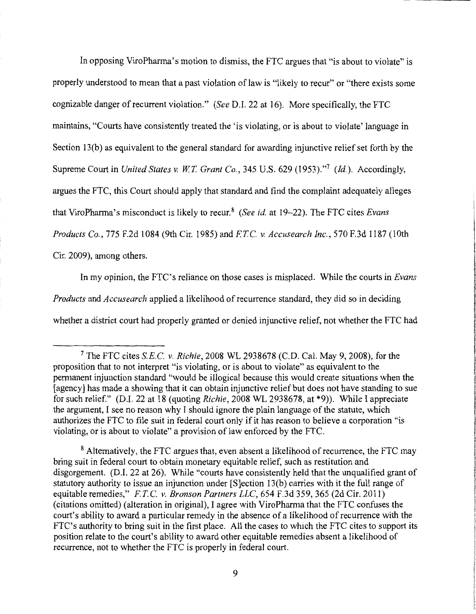In opposing ViroPharma's motion to dismiss, the FTC argues that "is about to violate" is properly understood to mean that a past violation of law is "likely to recur" or "there exists some cognizable danger of recurrent violation." *(See D.I. 22 at 16)*. More specifically, the FTC maintains, "Courts have consistently treated the 'is violating, or is about to violate' language in Section 13(b) as equivalent to the general standard for awarding injunctive relief set forth by the Supreme Court in *United States v. W.T. Grant Co.,* 345 U.S. 629 (1953)."<sup>7</sup>*(Id.).* Accordingly, argues the FTC, this Court should apply that standard and find the complaint adequately alleges that ViroPharma's misconduct is likely to recur.8 *(See id.* at 19-22). The FTC cites *Evans Products Co.,* 775 F.2d 1084 (9th Cir. 1985) and *FT.C. v. Accusearch Inc.,* 570 F.3d 1187 (10th Cir. 2009), among others.

In my opinion, the FTC's reliance on those cases is misplaced. While the courts in *Evans Products* and *Accuse arch* applied a likelihood of recurrence standard, they did so in deciding whether a district court had properly granted or denied injunctive relief, not whether the FTC had

<sup>7</sup>The FTC cites *S.E.* C. *v. Richie,* 2008 WL 2938678 (C.D. Cal. May 9, 2008), for the proposition that to not interpret "is violating, or is about to violate" as equivalent to the permanent injunction standard "would be illogical because this would create situations when the [agency] has made a showing that it can obtain injunctive relief but does not have standing to sue for such relief." (D.I. 22 at 18 (quoting *Richie,* 2008 WL 2938678, at \*9)). While I appreciate the argument, I see no reason why I should ignore the plain language of the statute, which authorizes the FTC to file suit in federal court only if it has reason to believe a corporation "is violating, or is about to violate" a provision of law enforced by the FTC.

<sup>&</sup>lt;sup>8</sup> Alternatively, the FTC argues that, even absent a likelihood of recurrence, the FTC may bring suit in federal court to obtain monetary equitable relief, such as restitution and disgorgement. (D.I. 22 at 26). While "courts have consistently held that the unqualified grant of statutory authority to issue an injunction under [S]ection 13(b) carries with it the full range of equitable remedies," FTC *v. Bronson Partners LLC,* 654 F.3d 359, 365 (2d Cir. 2011) (citations omitted) (alteration in original), I agree with ViroPharma that the FTC confuses the court's ability to award a particular remedy in the absence of a likelihood of recurrence with the FTC's authority to bring suit in the first place. All the cases to which the FTC cites to support its position relate to the court's ability to award other equitable remedies absent a likelihood of recurrence, not to whether the FTC is properly in federal court.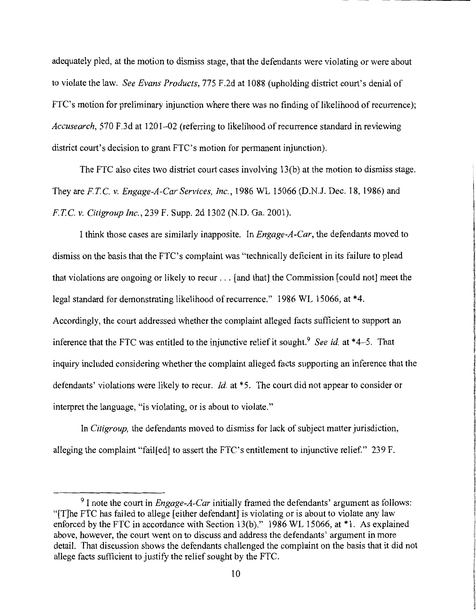adequately pled, at the motion to dismiss stage, that the defendants were violating or were about to violate the law. *See Evans Products,* 775 F.2d at 1088 (upholding district court's denial of FTC's motion for preliminary injunction where there was no finding of likelihood of recurrence); *Accusearch*, 570 F.3d at 1201–02 (referring to likelihood of recurrence standard in reviewing district court's decision to grant FTC's motion for permanent injunction).

The FTC also cites two district court cases involving 13(b) at the motion to dismiss stage. They are *FTC. v. Engage-A-Car Services, Inc.,* 1986 WL 15066 (D.N.J. Dec. 18, 1986) and *FTC v. Citigroup Inc.,* 239 F. Supp. 2d 1302 (N.D. Ga. 2001).

I think those cases are similarly inapposite. In *Engage-A-Car,* the defendants moved to dismiss on the basis that the FTC's complaint was "technically deficient in its failure to plead that violations are ongoing or likely to recur ... [and that] the Commission [could not] meet the legal standard for demonstrating likelihood of recurrence." 1986 WL 15066, at \*4. Accordingly, the court addressed whether the complaint alleged facts sufficient to support an inference that the FTC was entitled to the injunctive relief it sought.<sup>9</sup> See id. at \*4–5. That inquiry included considering whether the complaint alleged facts supporting an inference that the defendants' violations were likely to recur. *Id.* at \*5. The court did not appear to consider or interpret the language, "is violating, or is about to violate."

In *Citigroup,* the defendants moved to dismiss for lack of subject matter jurisdiction, alleging the complaint "fail[ed] to assert the FTC's entitlement to injunctive relief." 239 F.

<sup>9</sup> I note the court in *Engage-A-Car* initially framed the defendants' argument as follows: "[T]he FTC has failed to allege [either defendant] is violating or is about to violate any law enforced by the FTC in accordance with Section 13(b)." 1986 WL 15066, at \*1. As explained above, however, the court went on to discuss and address the defendants' argument in more detail. That discussion shows the defendants challenged the complaint on the basis that it did not allege facts sufficient to justify the relief sought by the FTC.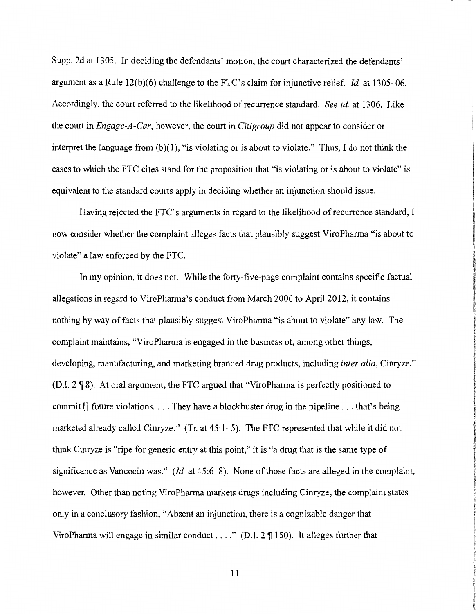Supp. 2d at 1305. In deciding the defendants' motion, the court characterized the defendants' argument as a Rule 12(b)(6) challenge to the FTC's claim for injunctive relief. *Id.* at 1305--06. Accordingly, the court referred to the likelihood ofrecurrence standard. *See id.* at 1306. Like the court in *Engage-A-Car,* however, the court in *Citigroup* did not appear to consider or interpret the language from  $(b)(1)$ , "is violating or is about to violate." Thus, I do not think the cases to which the FTC cites stand for the proposition that "is violating or is about to violate" is equivalent to the standard courts apply in deciding whether an injunction should issue.

Having rejected the FTC's arguments in regard to the likelihood of recurrence standard, I now consider whether the complaint alleges facts that plausibly suggest ViroPharma "is about to violate" a law enforced by the FTC.

In my opinion, it does not. While the forty-five-page complaint contains specific factual allegations in regard to ViroPharma's conduct from March 2006 to April 2012, it contains nothing by way of facts that plausibly suggest ViroPharma "is about to violate" any law. The complaint maintains, "ViroPharma is engaged in the business of, among other things, developing, manufacturing, and marketing branded drug products, including *inter alia,* Cinryze." (D.I. 2 ~ 8). At oral argument, the FTC argued that "ViroPharma is perfectly positioned to commit [] future violations. . . . They have a blockbuster drug in the pipeline . . . that's being marketed already called Cinryze." (Tr. at 45:1-5). The FTC represented that while it did not think Cinryze is "ripe for generic entry at this point," it is "a drug that is the same type of significance as Vancocin was." *(Id.* at 45:6-8). None of those facts are alleged in the complaint, however. Other than noting ViroPharma markets drugs including Cinryze, the complaint states only in a conclusory fashion, "Absent an injunction, there is a cognizable danger that ViroPharma will engage in similar conduct . . . " (D.I.  $2 \P 150$ ). It alleges further that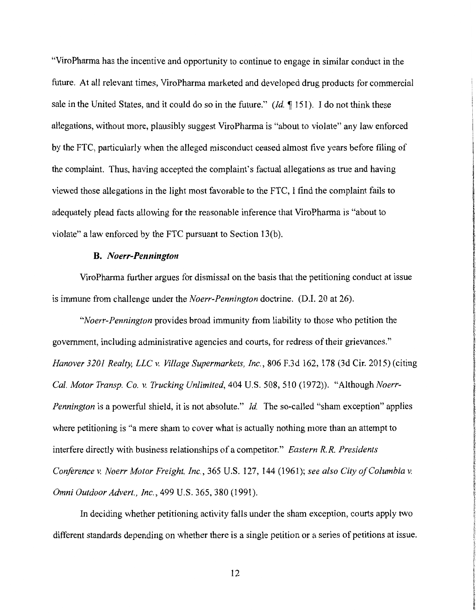"ViroPharma has the incentive and opportunity to continue to engage in similar conduct in the future. At all relevant times, ViroPharma marketed and developed drug products for commercial sale in the United States, and it could do so in the future." *(Id.* 151). I do not think these allegations, without more, plausibly suggest ViroPharma is "about to violate" any law enforced by the FTC, particularly when the alleged misconduct ceased almost five years before filing of the complaint. Thus, having accepted the complaint's factual allegations as true and having viewed those allegations in the light most favorable to the FTC, I find the complaint fails to adequately plead facts allowing for the reasonable inference that ViroPharma is "about to violate" a law enforced by the FTC pursuant to Section 13(b).

# **B.** *Noerr-Pennington*

ViroPharma further argues for dismissal on the basis that the petitioning conduct at issue is immune from challenge under the *Noerr-Pennington* doctrine. (D.I. 20 at 26).

*"Noerr-Pennington* provides broad immunity from liability to those who petition the government, including administrative agencies and courts, for redress of their grievances." *Hanover 3201 Realty, LLC v. Village Supermarkets, Inc.,* 806 F.3d 162, 178 (3d Cir. 2015) (citing *Cal. Motor Transp. Co. v. Trucking Unlimited,* 404 U.S. 508, 510 (1972)). "Although *Noerr-Pennington* is a powerful shield, it is not absolute." *Id.* The so-called "sham exception" applies where petitioning is "a mere sham to cover what is actually nothing more than an attempt to interfere directly with business relationships of a competitor." *Eastern R.R. Presidents Conference v. Noerr Motor Freight, Inc.,* 365 U.S. 127, 144 (1961); *see also City of Columbia v. Omni Outdoor Advert., Inc.,* 499 U.S. 365, 380 (1991).

In deciding whether petitioning activity falls under the sham exception, courts apply two different standards depending on whether there is a single petition or a series of petitions at issue.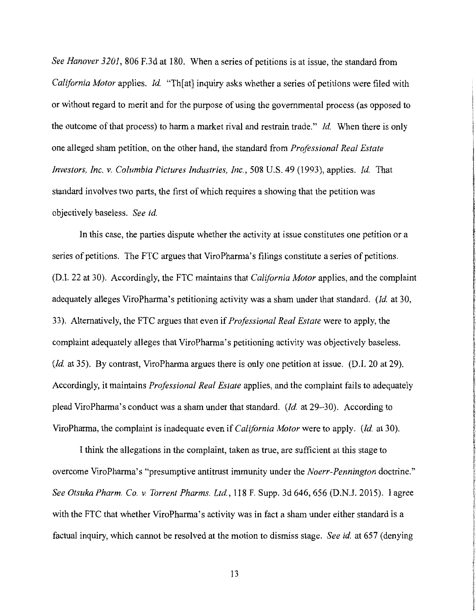*See Hanover 3201,* 806 F.3d at 180. When a series of petitions is at issue, the standard from *California Motor applies. Id.* "Th[at] inquiry asks whether a series of petitions were filed with or without regard to merit and for the purpose of using the governmental process (as opposed to the outcome of that process) to harm a market rival and restrain trade." *Id.* When there is only one alleged sham petition, on the other hand, the standard from *Professional Real Estate investors, Inc. v. Columbia Pictures Industries, Inc.,* 508 U.S. 49 (1993), applies. *Id.* That standard involves two parts, the first of which requires a showing that the petition was objectively baseless. *See id.* 

In this case, the parties dispute whether the activity at issue constitutes one petition or a series of petitions. The FTC argues that ViroPharma's filings constitute a series of petitions. (D.I. 22 at 30). Accordingly, the FTC maintains that *California Motor* applies, and the complaint adequately alleges ViroPharma's petitioning activity was a sham under that standard. *(Id. at 30, at 30, at 30,* 33). Alternatively, the FTC argues that even if *Professional Real Estate* were to apply, the complaint adequately alleges that ViroPharma's petitioning activity was objectively baseless. *(Id.* at 35). By contrast, ViroPharma argues there is only one petition at issue. (D.I. 20 at 29). Accordingly, it maintains *Professional Real Estate* applies, and the complaint fails to adequately plead ViroPharma's conduct was a sham under that standard. *(Id.* at 29-30). According to ViroPharma, the complaint is inadequate even if *California Motor* were to apply. *(Id.* at 30).

I think the allegations in the complaint, taken as true, are sufficient at this stage to overcome ViroPharma's "presumptive antitrust immunity under the *Noerr-Pennington* doctrine." *See Otsuka Pharm. Co. v. Torrent Pharms. Ltd.,* 118 F. Supp. 3d 646, 656 (D.N.J. 2015). I agree with the FTC that whether ViroPharma's activity was in fact a sham under either standard is a factual inquiry, which cannot be resolved at the motion to dismiss stage. *See id.* at 657 (denying